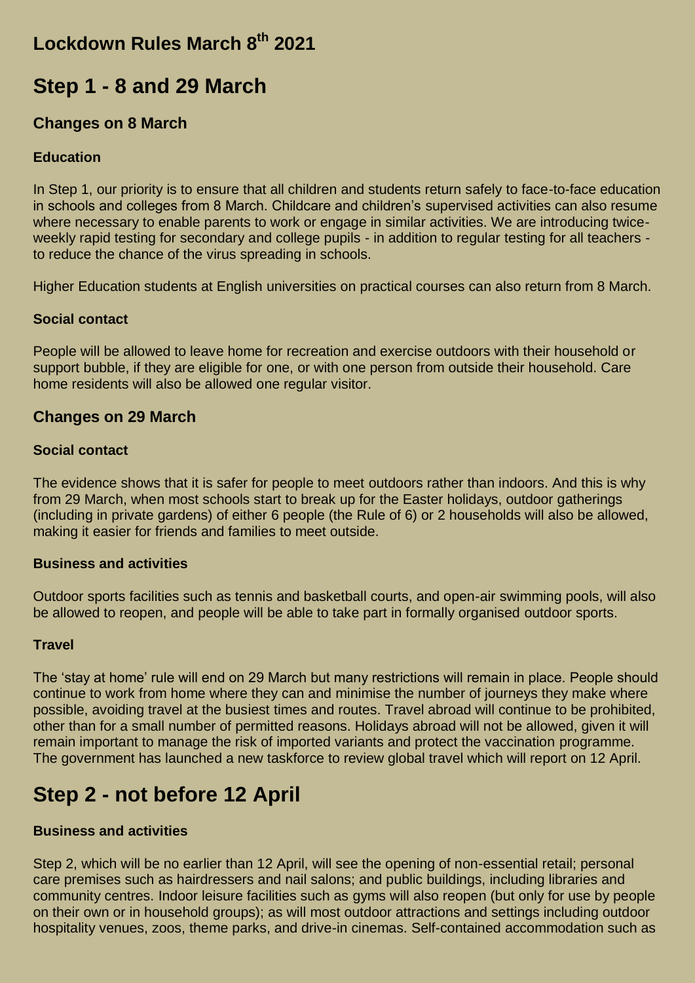### **Lockdown Rules March 8th 2021**

## **Step 1 - 8 and 29 March**

### **Changes on 8 March**

#### **Education**

In Step 1, our priority is to ensure that all children and students return safely to face-to-face education in schools and colleges from 8 March. Childcare and children's supervised activities can also resume where necessary to enable parents to work or engage in similar activities. We are introducing twiceweekly rapid testing for secondary and college pupils - in addition to regular testing for all teachers to reduce the chance of the virus spreading in schools.

Higher Education students at English universities on practical courses can also return from 8 March.

#### **Social contact**

People will be allowed to leave home for recreation and exercise outdoors with their household or support bubble, if they are eligible for one, or with one person from outside their household. Care home residents will also be allowed one regular visitor.

### **Changes on 29 March**

#### **Social contact**

The evidence shows that it is safer for people to meet outdoors rather than indoors. And this is why from 29 March, when most schools start to break up for the Easter holidays, outdoor gatherings (including in private gardens) of either 6 people (the Rule of 6) or 2 households will also be allowed, making it easier for friends and families to meet outside.

#### **Business and activities**

Outdoor sports facilities such as tennis and basketball courts, and open-air swimming pools, will also be allowed to reopen, and people will be able to take part in formally organised outdoor sports.

#### **Travel**

The 'stay at home' rule will end on 29 March but many restrictions will remain in place. People should continue to work from home where they can and minimise the number of journeys they make where possible, avoiding travel at the busiest times and routes. Travel abroad will continue to be prohibited, other than for a small number of permitted reasons. Holidays abroad will not be allowed, given it will remain important to manage the risk of imported variants and protect the vaccination programme. The government has launched a new taskforce to review global travel which will report on 12 April.

## **Step 2 - not before 12 April**

#### **Business and activities**

Step 2, which will be no earlier than 12 April, will see the opening of non-essential retail; personal care premises such as hairdressers and nail salons; and public buildings, including libraries and community centres. Indoor leisure facilities such as gyms will also reopen (but only for use by people on their own or in household groups); as will most outdoor attractions and settings including outdoor hospitality venues, zoos, theme parks, and drive-in cinemas. Self-contained accommodation such as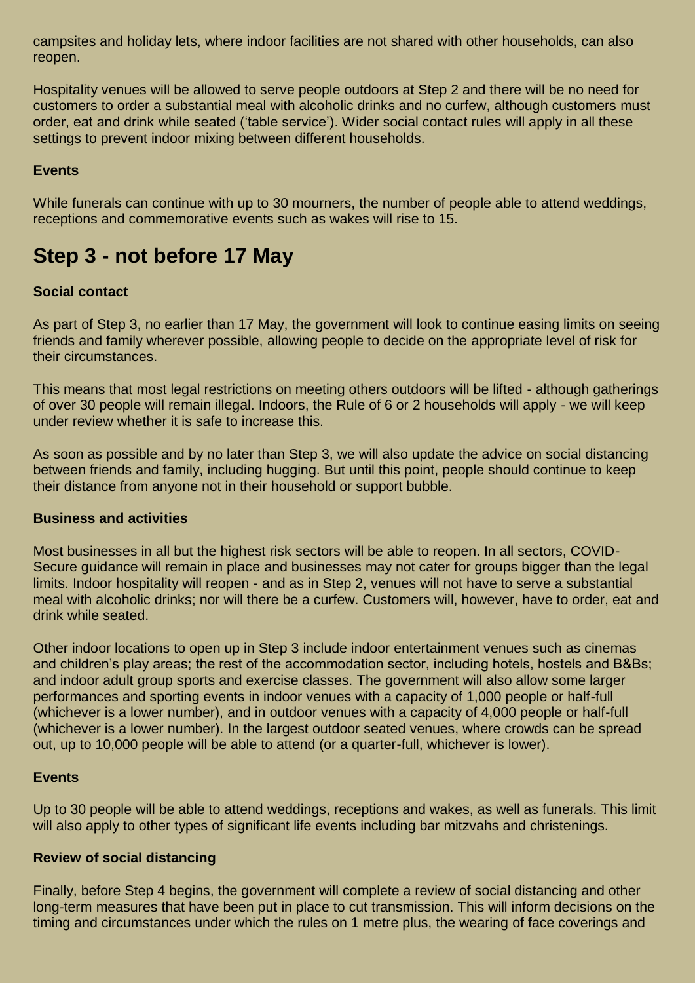campsites and holiday lets, where indoor facilities are not shared with other households, can also reopen.

Hospitality venues will be allowed to serve people outdoors at Step 2 and there will be no need for customers to order a substantial meal with alcoholic drinks and no curfew, although customers must order, eat and drink while seated ('table service'). Wider social contact rules will apply in all these settings to prevent indoor mixing between different households.

### **Events**

While funerals can continue with up to 30 mourners, the number of people able to attend weddings, receptions and commemorative events such as wakes will rise to 15.

# **Step 3 - not before 17 May**

#### **Social contact**

As part of Step 3, no earlier than 17 May, the government will look to continue easing limits on seeing friends and family wherever possible, allowing people to decide on the appropriate level of risk for their circumstances.

This means that most legal restrictions on meeting others outdoors will be lifted - although gatherings of over 30 people will remain illegal. Indoors, the Rule of 6 or 2 households will apply - we will keep under review whether it is safe to increase this.

As soon as possible and by no later than Step 3, we will also update the advice on social distancing between friends and family, including hugging. But until this point, people should continue to keep their distance from anyone not in their household or support bubble.

#### **Business and activities**

Most businesses in all but the highest risk sectors will be able to reopen. In all sectors, COVID-Secure guidance will remain in place and businesses may not cater for groups bigger than the legal limits. Indoor hospitality will reopen - and as in Step 2, venues will not have to serve a substantial meal with alcoholic drinks; nor will there be a curfew. Customers will, however, have to order, eat and drink while seated.

Other indoor locations to open up in Step 3 include indoor entertainment venues such as cinemas and children's play areas; the rest of the accommodation sector, including hotels, hostels and B&Bs; and indoor adult group sports and exercise classes. The government will also allow some larger performances and sporting events in indoor venues with a capacity of 1,000 people or half-full (whichever is a lower number), and in outdoor venues with a capacity of 4,000 people or half-full (whichever is a lower number). In the largest outdoor seated venues, where crowds can be spread out, up to 10,000 people will be able to attend (or a quarter-full, whichever is lower).

#### **Events**

Up to 30 people will be able to attend weddings, receptions and wakes, as well as funerals. This limit will also apply to other types of significant life events including bar mitzvahs and christenings.

#### **Review of social distancing**

Finally, before Step 4 begins, the government will complete a review of social distancing and other long-term measures that have been put in place to cut transmission. This will inform decisions on the timing and circumstances under which the rules on 1 metre plus, the wearing of face coverings and